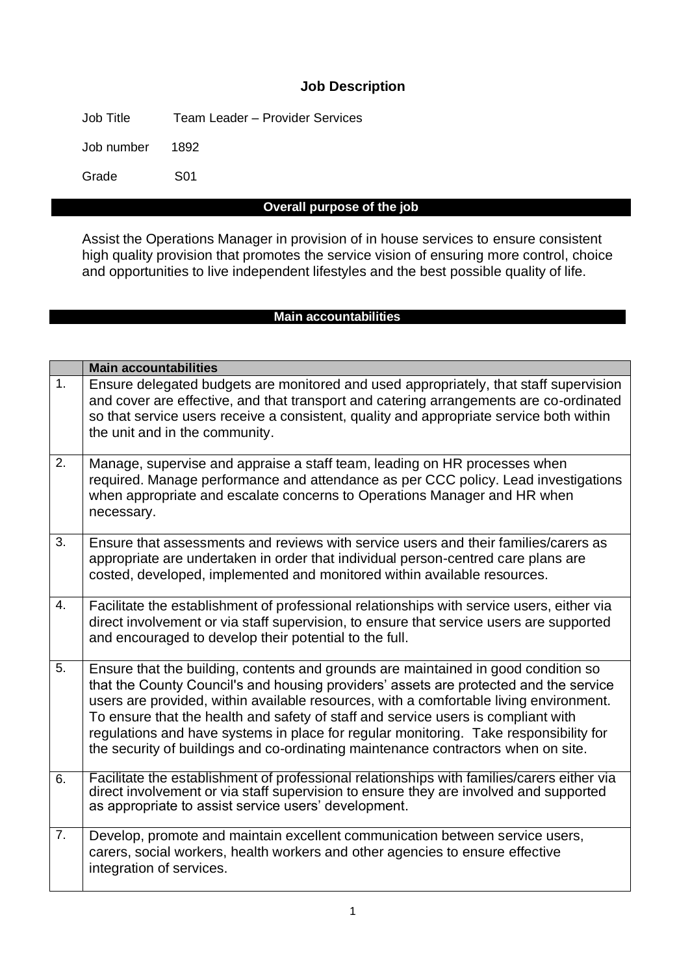### **Job Description**

Job Title Team Leader – Provider Services

Job number 1892

Grade S01

#### **Overall purpose of the job**

Assist the Operations Manager in provision of in house services to ensure consistent high quality provision that promotes the service vision of ensuring more control, choice and opportunities to live independent lifestyles and the best possible quality of life.

#### **Main accountabilities**

|                | <b>Main accountabilities</b>                                                                                                                                                                                                                                                                                                                                                                                                                                                                                                             |
|----------------|------------------------------------------------------------------------------------------------------------------------------------------------------------------------------------------------------------------------------------------------------------------------------------------------------------------------------------------------------------------------------------------------------------------------------------------------------------------------------------------------------------------------------------------|
| 1.             | Ensure delegated budgets are monitored and used appropriately, that staff supervision<br>and cover are effective, and that transport and catering arrangements are co-ordinated<br>so that service users receive a consistent, quality and appropriate service both within<br>the unit and in the community.                                                                                                                                                                                                                             |
| 2.             | Manage, supervise and appraise a staff team, leading on HR processes when<br>required. Manage performance and attendance as per CCC policy. Lead investigations<br>when appropriate and escalate concerns to Operations Manager and HR when<br>necessary.                                                                                                                                                                                                                                                                                |
| 3.             | Ensure that assessments and reviews with service users and their families/carers as<br>appropriate are undertaken in order that individual person-centred care plans are<br>costed, developed, implemented and monitored within available resources.                                                                                                                                                                                                                                                                                     |
| 4.             | Facilitate the establishment of professional relationships with service users, either via<br>direct involvement or via staff supervision, to ensure that service users are supported<br>and encouraged to develop their potential to the full.                                                                                                                                                                                                                                                                                           |
| 5.             | Ensure that the building, contents and grounds are maintained in good condition so<br>that the County Council's and housing providers' assets are protected and the service<br>users are provided, within available resources, with a comfortable living environment.<br>To ensure that the health and safety of staff and service users is compliant with<br>regulations and have systems in place for regular monitoring. Take responsibility for<br>the security of buildings and co-ordinating maintenance contractors when on site. |
| 6.             | Facilitate the establishment of professional relationships with families/carers either via<br>direct involvement or via staff supervision to ensure they are involved and supported<br>as appropriate to assist service users' development.                                                                                                                                                                                                                                                                                              |
| 7 <sub>1</sub> | Develop, promote and maintain excellent communication between service users,<br>carers, social workers, health workers and other agencies to ensure effective<br>integration of services.                                                                                                                                                                                                                                                                                                                                                |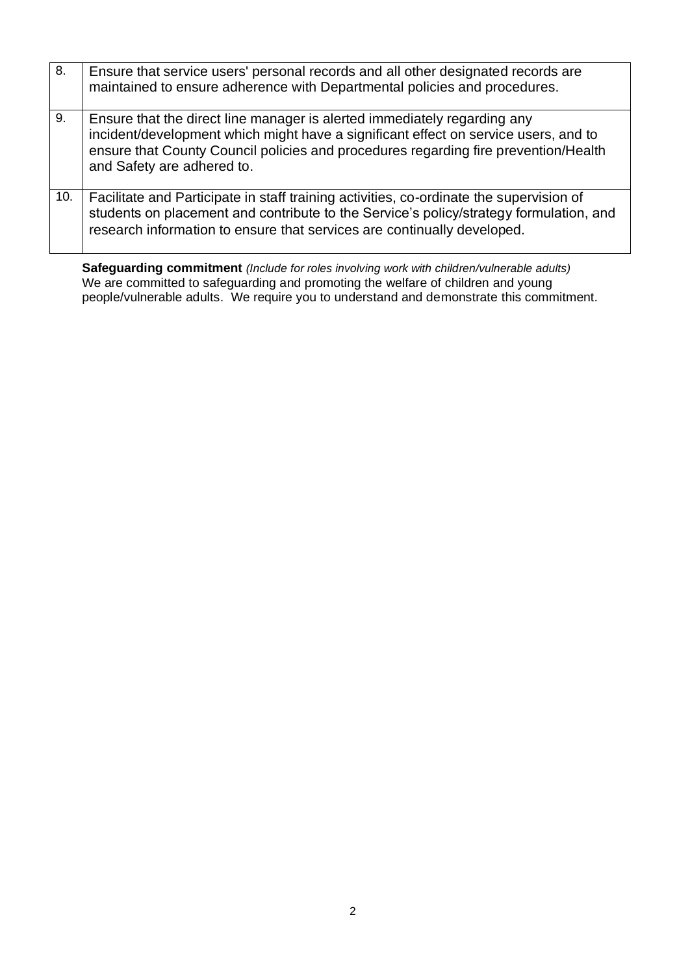| 8.  | Ensure that service users' personal records and all other designated records are<br>maintained to ensure adherence with Departmental policies and procedures.                                                                                                                        |
|-----|--------------------------------------------------------------------------------------------------------------------------------------------------------------------------------------------------------------------------------------------------------------------------------------|
| 9.  | Ensure that the direct line manager is alerted immediately regarding any<br>incident/development which might have a significant effect on service users, and to<br>ensure that County Council policies and procedures regarding fire prevention/Health<br>and Safety are adhered to. |
| 10. | Facilitate and Participate in staff training activities, co-ordinate the supervision of<br>students on placement and contribute to the Service's policy/strategy formulation, and<br>research information to ensure that services are continually developed.                         |

**Safeguarding commitment** *(Include for roles involving work with children/vulnerable adults)* We are committed to safeguarding and promoting the welfare of children and young people/vulnerable adults. We require you to understand and demonstrate this commitment.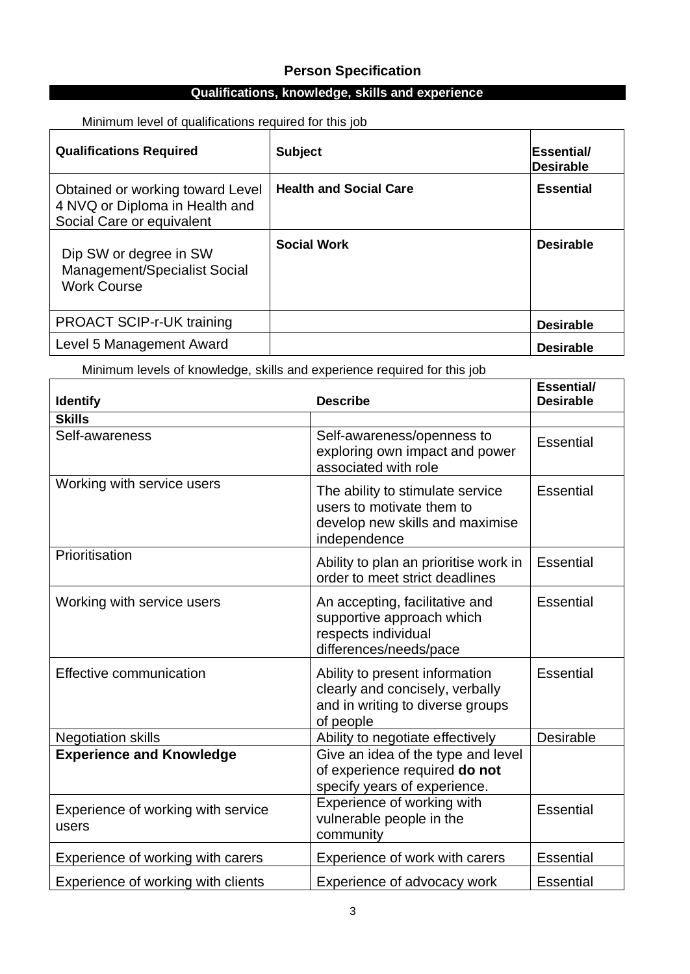## **Person Specification**

## **Qualifications, knowledge, skills and experience**

| <b>Qualifications Required</b>                                                                  | <b>Subject</b>                | <b>Essential/</b><br><b>Desirable</b> |
|-------------------------------------------------------------------------------------------------|-------------------------------|---------------------------------------|
| Obtained or working toward Level<br>4 NVQ or Diploma in Health and<br>Social Care or equivalent | <b>Health and Social Care</b> | <b>Essential</b>                      |
| Dip SW or degree in SW<br>Management/Specialist Social<br><b>Work Course</b>                    | <b>Social Work</b>            | <b>Desirable</b>                      |
| <b>PROACT SCIP-r-UK training</b>                                                                |                               | <b>Desirable</b>                      |
| Level 5 Management Award                                                                        |                               | <b>Desirable</b>                      |

Minimum level of qualifications required for this job

Minimum levels of knowledge, skills and experience required for this job

| <b>Identify</b>                             | <b>Describe</b>                                                                                                    | Essential/<br><b>Desirable</b> |
|---------------------------------------------|--------------------------------------------------------------------------------------------------------------------|--------------------------------|
| <b>Skills</b>                               |                                                                                                                    |                                |
| Self-awareness                              | Self-awareness/openness to<br>exploring own impact and power<br>associated with role                               | <b>Essential</b>               |
| Working with service users                  | The ability to stimulate service<br>users to motivate them to<br>develop new skills and maximise<br>independence   | <b>Essential</b>               |
| Prioritisation                              | Ability to plan an prioritise work in<br>order to meet strict deadlines                                            | Essential                      |
| Working with service users                  | An accepting, facilitative and<br>supportive approach which<br>respects individual<br>differences/needs/pace       | <b>Essential</b>               |
| Effective communication                     | Ability to present information<br>clearly and concisely, verbally<br>and in writing to diverse groups<br>of people | <b>Essential</b>               |
| <b>Negotiation skills</b>                   | Ability to negotiate effectively                                                                                   | Desirable                      |
| <b>Experience and Knowledge</b>             | Give an idea of the type and level<br>of experience required do not<br>specify years of experience.                |                                |
| Experience of working with service<br>users | Experience of working with<br>vulnerable people in the<br>community                                                | <b>Essential</b>               |
| Experience of working with carers           | Experience of work with carers                                                                                     | <b>Essential</b>               |
| Experience of working with clients          | Experience of advocacy work                                                                                        | <b>Essential</b>               |